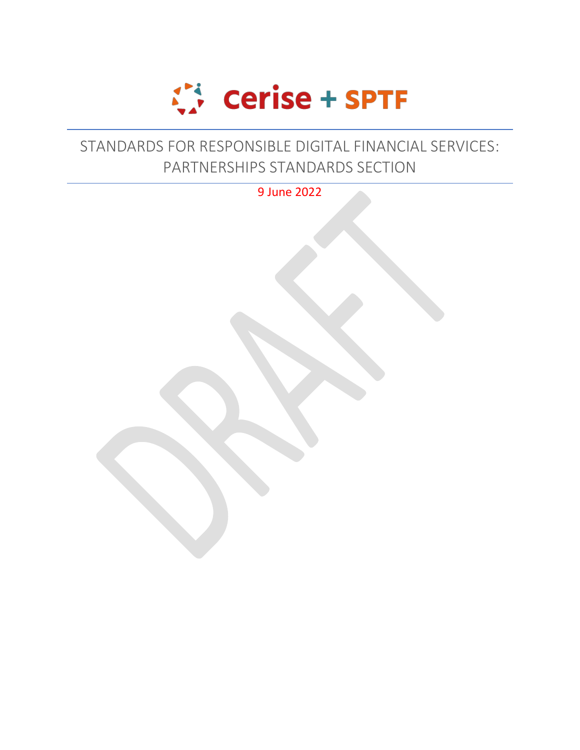

## STANDARDS FOR RESPONSIBLE DIGITAL FINANCIAL SERVICES: PARTNERSHIPS STANDARDS SECTION

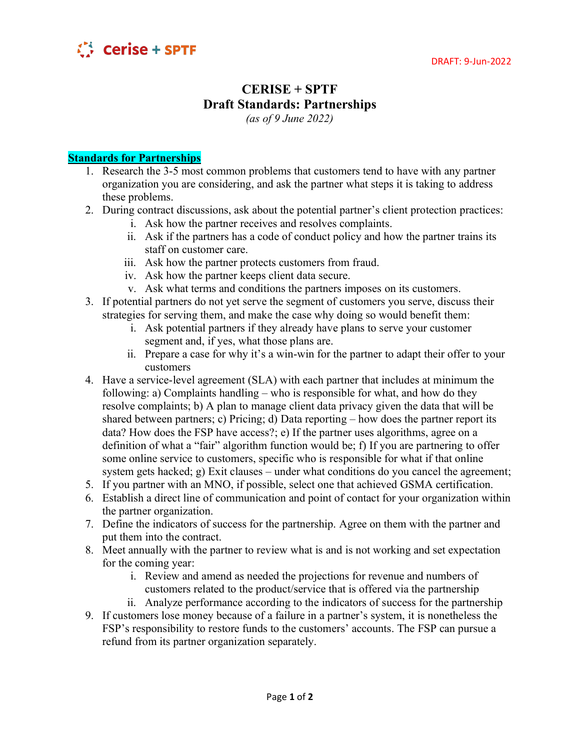

## **CERISE + SPTF Draft Standards: Partnerships**

*(as of 9 June 2022)*

## **Standards for Partnerships**

- 1. Research the 3-5 most common problems that customers tend to have with any partner organization you are considering, and ask the partner what steps it is taking to address these problems.
- 2. During contract discussions, ask about the potential partner's client protection practices:
	- i. Ask how the partner receives and resolves complaints.
	- ii. Ask if the partners has a code of conduct policy and how the partner trains its staff on customer care.
	- iii. Ask how the partner protects customers from fraud.
	- iv. Ask how the partner keeps client data secure.
	- v. Ask what terms and conditions the partners imposes on its customers.
- 3. If potential partners do not yet serve the segment of customers you serve, discuss their strategies for serving them, and make the case why doing so would benefit them:
	- i. Ask potential partners if they already have plans to serve your customer segment and, if yes, what those plans are.
	- ii. Prepare a case for why it's a win-win for the partner to adapt their offer to your customers
- 4. Have a service-level agreement (SLA) with each partner that includes at minimum the following: a) Complaints handling – who is responsible for what, and how do they resolve complaints; b) A plan to manage client data privacy given the data that will be shared between partners; c) Pricing; d) Data reporting – how does the partner report its data? How does the FSP have access?; e) If the partner uses algorithms, agree on a definition of what a "fair" algorithm function would be; f) If you are partnering to offer some online service to customers, specific who is responsible for what if that online system gets hacked; g) Exit clauses – under what conditions do you cancel the agreement;
- 5. If you partner with an MNO, if possible, select one that achieved GSMA certification.
- 6. Establish a direct line of communication and point of contact for your organization within the partner organization.
- 7. Define the indicators of success for the partnership. Agree on them with the partner and put them into the contract.
- 8. Meet annually with the partner to review what is and is not working and set expectation for the coming year:
	- i. Review and amend as needed the projections for revenue and numbers of customers related to the product/service that is offered via the partnership
	- ii. Analyze performance according to the indicators of success for the partnership
- 9. If customers lose money because of a failure in a partner's system, it is nonetheless the FSP's responsibility to restore funds to the customers' accounts. The FSP can pursue a refund from its partner organization separately.